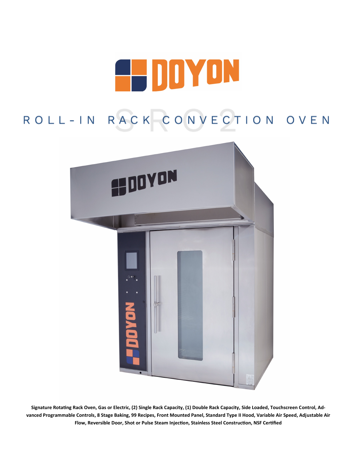

# ROLL-IN RACK CONVECTION OVEN



**Signature Rotating Rack Oven, Gas or Electric, (2) Single Rack Capacity, (1) Double Rack Capacity, Side Loaded, Touchscreen Control, Advanced Programmable Controls, 8 Stage Baking, 99 Recipes, Front Mounted Panel, Standard Type II Hood, Variable Air Speed, Adjustable Air Flow, Reversible Door, Shot or Pulse Steam Injection, Stainless Steel Construction, NSF Certified**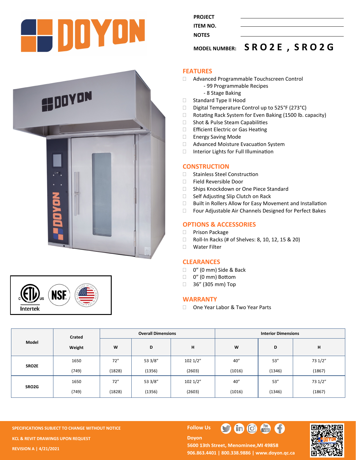

**PROJECT ITEM NO. NOTES** 

### **MODEL NUMBER: S R O 2 E , S R O 2 G**





#### **FEATURES**

- Advanced Programmable Touchscreen Control
	- 99 Programmable Recipes
	- 8 Stage Baking
- □ Standard Type II Hood
- $\Box$  Digital Temperature Control up to 525°F (273°C)
- □ Rotating Rack System for Even Baking (1500 lb. capacity)
- □ Shot & Pulse Steam Capabilities
- **Efficient Electric or Gas Heating**
- Energy Saving Mode
- □ Advanced Moisture Evacuation System
- □ Interior Lights for Full Illumination

#### **CONSTRUCTION**

- □ Stainless Steel Construction
- Field Reversible Door
- □ Ships Knockdown or One Piece Standard
- □ Self Adjusting Slip Clutch on Rack
- □ Built in Rollers Allow for Easy Movement and Installation
- □ Four Adjustable Air Channels Designed for Perfect Bakes

### **OPTIONS & ACCESSORIES**

- □ Prison Package
- □ Roll-In Racks (# of Shelves: 8, 10, 12, 15 & 20)
- Water Filter

#### **CLEARANCES**

- □ 0" (0 mm) Side & Back
- □ 0" (0 mm) Bottom
- □ 36" (305 mm) Top

#### **WARRANTY**

□ One Year Labor & Two Year Parts

| Model | Crated |        | <b>Overall Dimensions</b> |         | <b>Interior Dimensions</b> |        |         |  |
|-------|--------|--------|---------------------------|---------|----------------------------|--------|---------|--|
|       | Weight | W      | D                         | н       | W                          | D      | н       |  |
| SRO2E | 1650   | 72"    | 53 3/8"                   | 1021/2" | 40''                       | 53''   | 73 1/2" |  |
|       | (749)  | (1828) | (1356)                    | (2603)  | (1016)                     | (1346) | (1867)  |  |
| SRO2G | 1650   | 72"    | 53 3/8"                   | 1021/2" | 40''                       | 53''   | 73 1/2" |  |
|       | (749)  | (1828) | (1356)                    | (2603)  | (1016)                     | (1346) | (1867)  |  |

**SPECIFICATIONS SUBJECT TO CHANGE WITHOUT NOTICE FOLLOW US KCL & REVIT DRAWINGS UPON REQUEST REVISION A | 4/21/2021**

## **Doyon**



5600 13th Street, Menominee, MI 49858 **906.863.4401 | 800.338.9886 | [www.doyon.qc.ca](http://www.doyon.qc.ca/)**

O

 $\bigoplus$   $\bigoplus$   $\bigoplus$